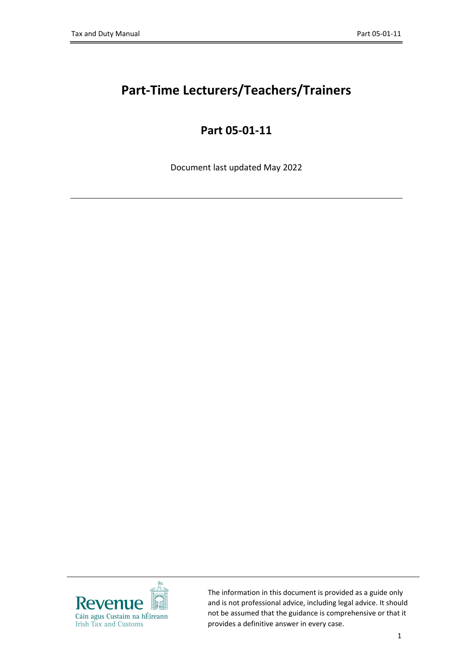# **Part-Time Lecturers/Teachers/Trainers**

## **Part 05-01-11**

Document last updated May 2022



The information in this document is provided as a guide only and is not professional advice, including legal advice. It should not be assumed that the guidance is comprehensive or that it provides a definitive answer in every case.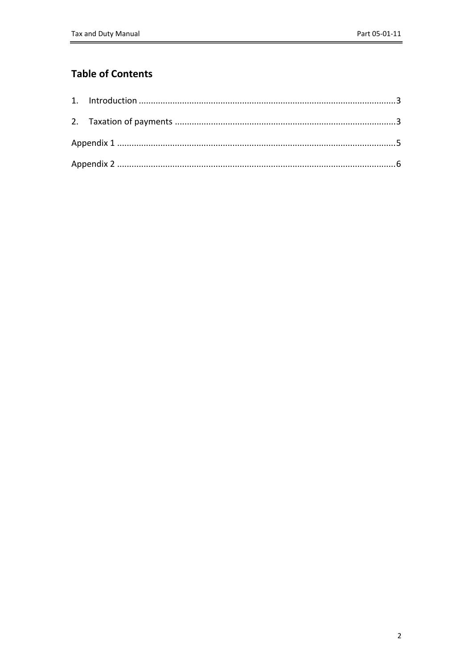#### **Table of Contents**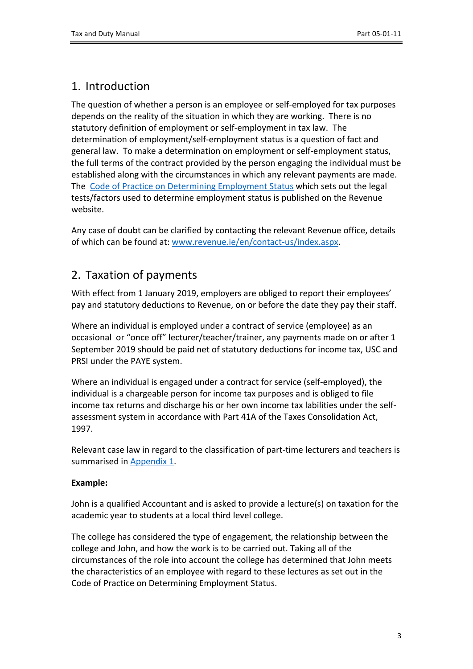### <span id="page-2-0"></span>1. Introduction

The question of whether a person is an employee or self-employed for tax purposes depends on the reality of the situation in which they are working. There is no statutory definition of employment or self-employment in tax law. The determination of employment/self-employment status is a question of fact and general law. To make a determination on employment or self-employment status, the full terms of the contract provided by the person engaging the individual must be established along with the circumstances in which any relevant payments are made. The [Code](https://www.revenue.ie/en/self-assessment-and-self-employment/documents/code-of-practice-on-employment-status.pdf) [of](https://www.revenue.ie/en/self-assessment-and-self-employment/documents/code-of-practice-on-employment-status.pdf) [Practice](https://www.revenue.ie/en/self-assessment-and-self-employment/documents/code-of-practice-on-employment-status.pdf) [on](https://www.revenue.ie/en/self-assessment-and-self-employment/documents/code-of-practice-on-employment-status.pdf) [Determining](https://www.revenue.ie/en/self-assessment-and-self-employment/documents/code-of-practice-on-employment-status.pdf) [Employment](https://www.revenue.ie/en/self-assessment-and-self-employment/documents/code-of-practice-on-employment-status.pdf) [Status](https://www.revenue.ie/en/self-assessment-and-self-employment/documents/code-of-practice-on-employment-status.pdf) which sets out the legal tests/factors used to determine employment status is published on the Revenue website.

Any case of doubt can be clarified by contacting the relevant Revenue office, details of which can be found at: [www.revenue.ie/en/contact-us/index.aspx.](http://www.revenue.ie/en/contact-us/index.aspx)

### <span id="page-2-1"></span>2. Taxation of payments

With effect from 1 January 2019, employers are obliged to report their employees' pay and statutory deductions to Revenue, on or before the date they pay their staff.

Where an individual is employed under a contract of service (employee) as an occasional or "once off" lecturer/teacher/trainer, any payments made on or after 1 September 2019 should be paid net of statutory deductions for income tax, USC and PRSI under the PAYE system.

Where an individual is engaged under a contract for service (self-employed), the individual is a chargeable person for income tax purposes and is obliged to file income tax returns and discharge his or her own income tax labilities under the selfassessment system in accordance with Part 41A of the Taxes Consolidation Act, 1997.

Relevant case law in regard to the classification of part-time lecturers and teachers is summarised in [Appendix](#page-3-0) [1](#page-3-0).

#### **Example:**

John is a qualified Accountant and is asked to provide a lecture(s) on taxation for the academic year to students at a local third level college.

The college has considered the type of engagement, the relationship between the college and John, and how the work is to be carried out. Taking all of the circumstances of the role into account the college has determined that John meets the characteristics of an employee with regard to these lectures as set out in the Code of Practice on Determining Employment Status.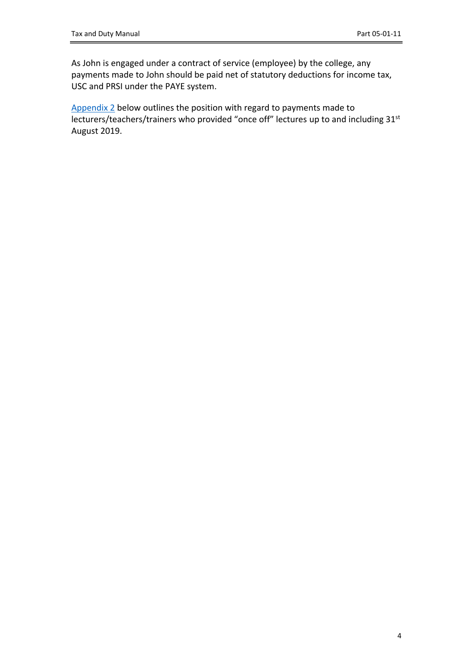As John is engaged under a contract of service (employee) by the college, any payments made to John should be paid net of statutory deductions for income tax, USC and PRSI under the PAYE system.

<span id="page-3-0"></span>[Appendix](#page-5-1) [2](#page-5-1) below outlines the position with regard to payments made to lecturers/teachers/trainers who provided "once off" lectures up to and including 31st August 2019.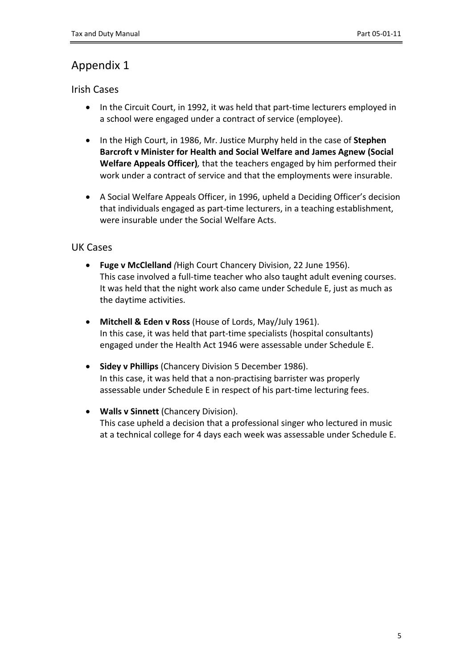### <span id="page-4-0"></span>Appendix 1

#### Irish Cases

- In the Circuit Court, in 1992, it was held that part-time lecturers employed in a school were engaged under a contract of service (employee).
- In the High Court, in 1986, Mr. Justice Murphy held in the case of **Stephen Barcroft v Minister for Health and Social Welfare and James Agnew (Social Welfare Appeals Officer)***,* that the teachers engaged by him performed their work under a contract of service and that the employments were insurable.
- A Social Welfare Appeals Officer, in 1996, upheld a Deciding Officer's decision that individuals engaged as part-time lecturers, in a teaching establishment, were insurable under the Social Welfare Acts.

#### UK Cases

- **Fuge v McClelland** *(*High Court Chancery Division, 22 June 1956). This case involved a full-time teacher who also taught adult evening courses. It was held that the night work also came under Schedule E, just as much as the daytime activities.
- **Mitchell & Eden v Ross** (House of Lords, May/July 1961). In this case, it was held that part-time specialists (hospital consultants) engaged under the Health Act 1946 were assessable under Schedule E.
- **Sidey v Phillips** (Chancery Division 5 December 1986). In this case, it was held that a non-practising barrister was properly assessable under Schedule E in respect of his part-time lecturing fees.
- **Walls v Sinnett** (Chancery Division). This case upheld a decision that a professional singer who lectured in music at a technical college for 4 days each week was assessable under Schedule E.